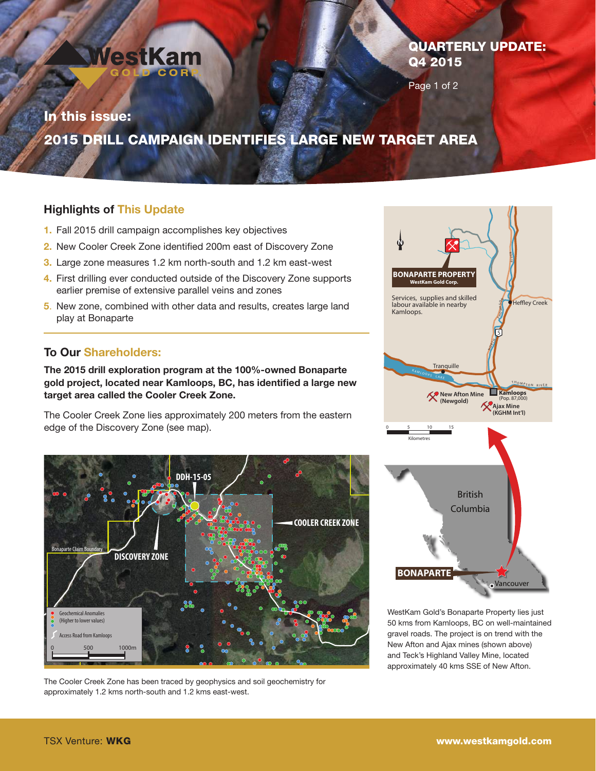

# QUARTERLY UPDATE: Q4 2015

Page 1 of 2

# In this issue: 2015 DRILL CAMPAIGN IDENTIFIES LARGE NEW TARGET AREA

## Highlights of This Update

- 1. Fall 2015 drill campaign accomplishes key objectives
- 2. New Cooler Creek Zone identified 200m east of Discovery Zone
- 3. Large zone measures 1.2 km north-south and 1.2 km east-west
- 4. First drilling ever conducted outside of the Discovery Zone supports earlier premise of extensive parallel veins and zones
- 5. New zone, combined with other data and results, creates large land play at Bonaparte

## To Our Shareholders:

The 2015 drill exploration program at the 100%-owned Bonaparte gold project, located near Kamloops, BC, has identified a large new target area called the Cooler Creek Zone.

The Cooler Creek Zone lies approximately 200 meters from the eastern edge of the Discovery Zone (see map).



The Cooler Creek Zone has been traced by geophysics and soil geochemistry for approximately 1.2 kms north-south and 1.2 kms east-west.



WestKam Gold's Bonaparte Property lies just 50 kms from Kamloops, BC on well-maintained gravel roads. The project is on trend with the New Afton and Ajax mines (shown above) and Teck's Highland Valley Mine, located approximately 40 kms SSE of New Afton.